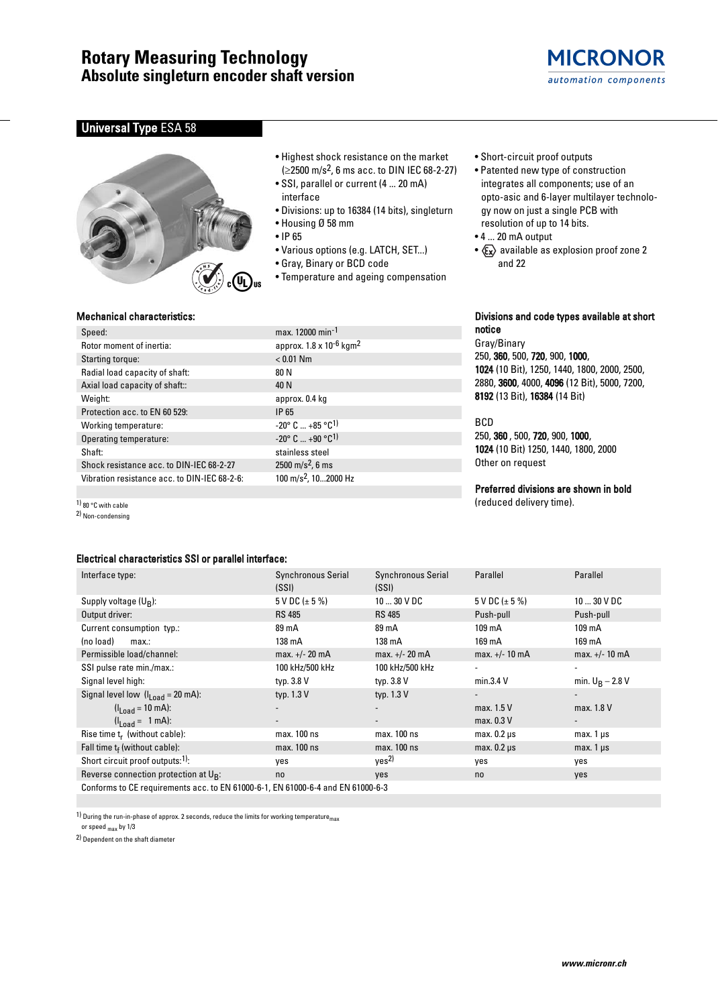## **Rotary Measuring Technology Absolute singleturn encoder shaft version**



## **Universal Type ESA 58**



- Highest shock resistance on the market  $(≥2500 \text{ m/s}^2, 6 \text{ ms } acc.$  to DIN IEC 68-2-27)
- SSI, parallel or current (4 ... 20 mA) interface
- Divisions: up to 16384 (14 bits), singleturn
- Housing Ø 58 mm
- IP 65
- Various options (e.g. LATCH, SET...)
- Gray, Binary or BCD code
- Temperature and ageing compensation
- Short-circuit proof outputs
- Patented new type of construction integrates all components; use of an opto-asic and 6-layer multilayer technology now on just a single PCB with resolution of up to 14 bits.
- 4 ... 20 mA output
- $x \rightarrow \infty$  available as explosion proof zone 2 and 22

### Mechanical characteristics:

| Speed:                                       | max.        |
|----------------------------------------------|-------------|
| Rotor moment of inertia:                     | appr        |
| Starting torque:                             | < 0.0       |
| Radial load capacity of shaft:               | 80 N        |
| Axial load capacity of shaft::               | 40 N        |
| Weight:                                      | appr        |
| Protection acc. to EN 60 529:                | IP 65       |
| Working temperature:                         | $-20^\circ$ |
| Operating temperature:                       | $-20^\circ$ |
| Shaft:                                       | stain       |
| Shock resistance acc. to DIN-IEC 68-2-27     | 2500        |
| Vibration resistance acc. to DIN-IEC 68-2-6: | 100 n       |

max. 12000 min-1 approx.  $1.8 \times 10^{-6}$  kgm<sup>2</sup>  $< 0.01$  Nm approx. 0.4 kg  $-20^{\circ}$  C  $...$   $+85^{\circ}$ C<sup>1)</sup>  $-20^{\circ}$  C  $...$   $+90$   $^{\circ}$ C<sup>1)</sup> stainless steel  $2500 \text{ m/s}^2$ , 6 ms 100 m/s<sup>2</sup>, 10...2000 Hz

#### Divisions and code types available at short notice

Gray/Binary 250, 360, 500, 720, 900, 1000, 1024 (10 Bit), 1250, 1440, 1800, 2000, 2500, 2880, 3600, 4000, 4096 (12 Bit), 5000, 7200, 8192 (13 Bit), 16384 (14 Bit)

#### BCD

250, 360 , 500, 720, 900, 1000, 1024 (10 Bit) 1250, 1440, 1800, 2000 Other on request

## Preferred divisions are shown in bold

(reduced delivery time).

| Electrical characteristics SSI or parallel interface:                           |                       |                           |                          |                          |  |  |  |  |  |  |
|---------------------------------------------------------------------------------|-----------------------|---------------------------|--------------------------|--------------------------|--|--|--|--|--|--|
| Interface type:                                                                 | Synchronous Serial    | <b>Synchronous Serial</b> | Parallel                 | Parallel                 |  |  |  |  |  |  |
|                                                                                 | (SSI)                 | (SSI)                     |                          |                          |  |  |  |  |  |  |
| Supply voltage $(U_R)$ :                                                        | $5$ V DC ( $\pm$ 5 %) | $1030$ V DC               | $5$ V DC ( $\pm$ 5 %)    | $1030$ V DC              |  |  |  |  |  |  |
| Output driver:                                                                  | <b>RS 485</b>         | <b>RS 485</b>             | Push-pull                | Push-pull                |  |  |  |  |  |  |
| Current consumption typ.:                                                       | 89 mA                 | 89 mA                     | $109 \text{ mA}$         | 109 mA                   |  |  |  |  |  |  |
| (no load)<br>max:                                                               | 138 mA                | 138 mA                    | 169 mA                   | 169 mA                   |  |  |  |  |  |  |
| Permissible load/channel:                                                       | $max. +/- 20 mA$      | $max. +/- 20 mA$          | max. $+/- 10$ mA         | $max. +/- 10 mA$         |  |  |  |  |  |  |
| SSI pulse rate min./max.:                                                       | 100 kHz/500 kHz       | 100 kHz/500 kHz           | $\overline{\phantom{a}}$ |                          |  |  |  |  |  |  |
| Signal level high:                                                              | typ. 3.8 V            | typ. 3.8 V                | min.3.4 V                | min. $U_B - 2.8 V$       |  |  |  |  |  |  |
| Signal level low $(I_{Load} = 20 \text{ mA})$ :                                 | typ. 1.3 V            | typ. 1.3 V                |                          |                          |  |  |  |  |  |  |
| $(l_{1 \text{ nad}} = 10 \text{ mA})$ :                                         |                       |                           | max. 1.5 V               | max. 1.8 V               |  |  |  |  |  |  |
| $(I_{Load} = 1 mA)$ :                                                           |                       | $\overline{\phantom{a}}$  | max. 0.3 V               | $\overline{\phantom{a}}$ |  |  |  |  |  |  |
| Rise time t <sub>r</sub> (without cable):                                       | max. 100 ns           | max. 100 ns               | $max. 0.2 \mu s$         | $max.1 \,\mu s$          |  |  |  |  |  |  |
| Fall time $t_f$ (without cable):                                                | max. 100 ns           | max. 100 ns               | $max. 0.2 \mu s$         | $max.1 \,\mu s$          |  |  |  |  |  |  |
| Short circuit proof outputs:1):                                                 | yes                   | Yes <sup>2</sup>          | yes                      | yes                      |  |  |  |  |  |  |
| Reverse connection protection at $U_{R}$ :                                      | no                    | yes                       | no                       | yes                      |  |  |  |  |  |  |
| Conforms to CE requirements acc. to EN 61000-6-1, EN 61000-6-4 and EN 61000-6-3 |                       |                           |                          |                          |  |  |  |  |  |  |

1) During the run-in-phase of approx. 2 seconds, reduce the limits for working temperature $_{\sf max}$ 

or speed  $_{\sf max}$  by 1/3

1) 80 °C with cable 2) Non-condensing

2) Dependent on the shaft diameter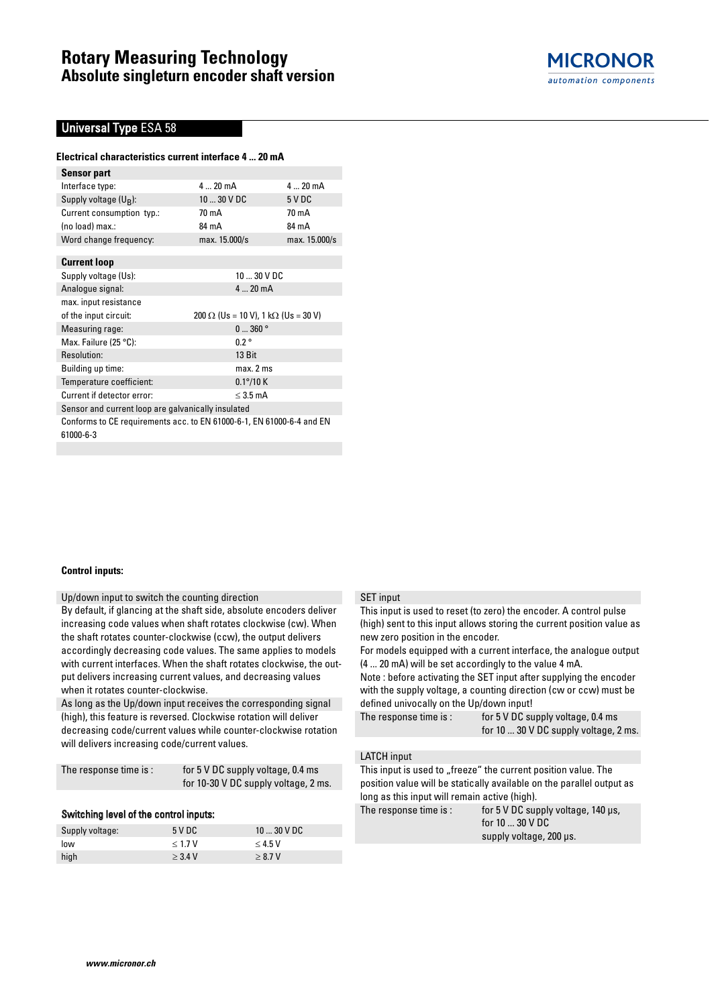

### **Universal Type ESA 58**

#### **Electrical characteristics current interface 4 ... 20 mA**

| Sensor part                                                           |                                                    |               |
|-----------------------------------------------------------------------|----------------------------------------------------|---------------|
| Interface type:                                                       | 420mA                                              | $420$ mA      |
| Supply voltage (U <sub>B</sub> ):                                     | 10  30 V DC                                        | 5 V DC        |
| Current consumption typ.:                                             | 70 mA                                              | 70 mA         |
| (no load) max.:                                                       | 84 mA                                              | 84 mA         |
| Word change frequency:                                                | max. 15.000/s                                      | max. 15.000/s |
|                                                                       |                                                    |               |
| <b>Current loop</b>                                                   |                                                    |               |
| Supply voltage (Us):                                                  | 10  30 V DC                                        |               |
| Analogue signal:                                                      | 420mA                                              |               |
| max. input resistance                                                 |                                                    |               |
| of the input circuit:                                                 | $200 \Omega$ (Us = 10 V), 1 k $\Omega$ (Us = 30 V) |               |
| Measuring rage:                                                       | 0360°                                              |               |
| Max. Failure (25 °C):                                                 | $0.2^{\circ}$                                      |               |
| Resolution:                                                           | 13 Bit                                             |               |
| Building up time:                                                     | $max.2$ ms                                         |               |
| Temperature coefficient:                                              | $0.1^{\circ}/10$ K                                 |               |
| Current if detector error:                                            | $<$ 3.5 mA                                         |               |
| Sensor and current loop are galvanically insulated                    |                                                    |               |
| Conforms to CE requirements acc. to EN 61000-6-1, EN 61000-6-4 and EN |                                                    |               |
| 61000-6-3                                                             |                                                    |               |

#### **Control inputs:**

Up/down input to switch the counting direction

By default, if glancing at the shaft side, absolute encoders deliver increasing code values when shaft rotates clockwise (cw). When the shaft rotates counter-clockwise (ccw), the output delivers accordingly decreasing code values. The same applies to models with current interfaces. When the shaft rotates clockwise, the output delivers increasing current values, and decreasing values when it rotates counter-clockwise.

As long as the Up/down input receives the corresponding signal (high), this feature is reversed. Clockwise rotation will deliver decreasing code/current values while counter-clockwise rotation will delivers increasing code/current values.

| The response time is : | for 5 V DC supply voltage, 0.4 ms    |
|------------------------|--------------------------------------|
|                        | for 10-30 V DC supply voltage, 2 ms. |
|                        |                                      |

#### Switching level of the control inputs:

| Supply voltage: | 5 V DC    | $1030$ V DC |
|-----------------|-----------|-------------|
| low             | < 1.7 V   | $<$ 4.5 V   |
| high            | $>$ 3.4 V | > 8.7 V     |

#### SET input

This input is used to reset (to zero) the encoder. A control pulse (high) sent to this input allows storing the current position value as new zero position in the encoder.

For models equipped with a current interface, the analogue output (4 ... 20 mA) will be set accordingly to the value 4 mA.

Note : before activating the SET input after supplying the encoder with the supply voltage, a counting direction (cw or ccw) must be defined univocally on the Up/down input!

| The response time is : $\,$ | for 5 V DC supply voltage, 0.4 ms            |  |  |
|-----------------------------|----------------------------------------------|--|--|
|                             | for 10 $\dots$ 30 V DC supply voltage, 2 ms. |  |  |

### LATCH input

This input is used to "freeze" the current position value. The position value will be statically available on the parallel output as long as this input will remain active (high).

The response time is : for 5 V DC supply voltage, 140 µs, for 10 ... 30 V DC supply voltage, 200 µs. Supply voltage: 5 V DC 10 ... 30 V DC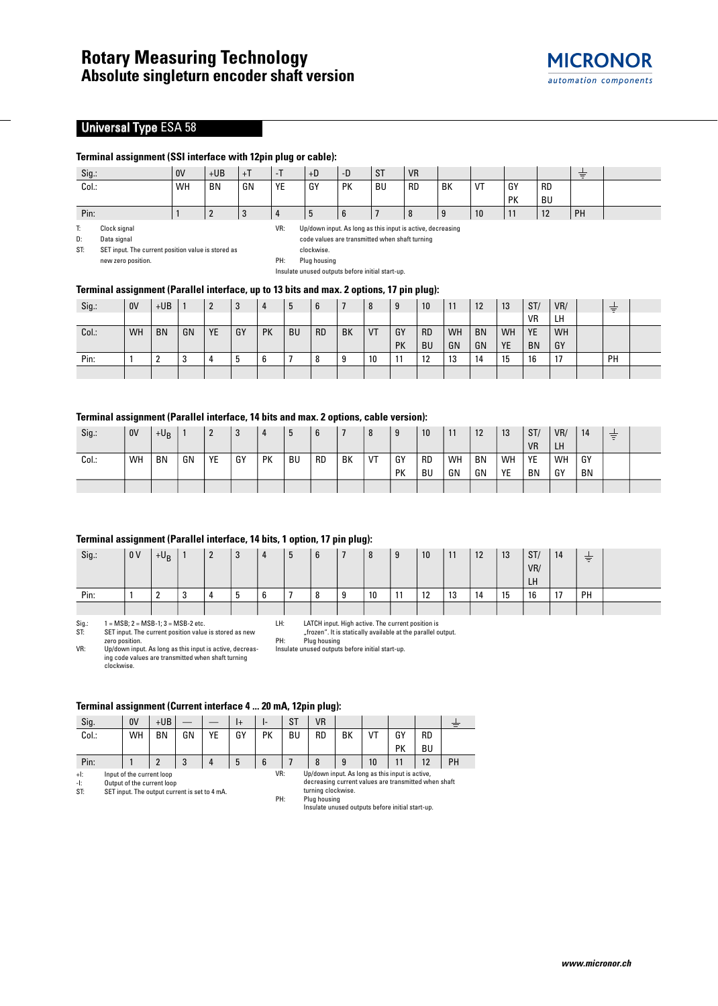### **Universal Type ESA 58**

#### **Terminal assignment (SSI interface with 12pin plug or cable):**

| Sig.: | 0 <sup>V</sup> | $+UB$ | $+T$ | - 1 | $+D$ | $-D$       | <b>ST</b> | <b>VR</b> |    |    |    |           |    |  |
|-------|----------------|-------|------|-----|------|------------|-----------|-----------|----|----|----|-----------|----|--|
| Col.: | WH             | BN    | GN   | YE  | GY   | PK         | <b>BU</b> | <b>RD</b> | BK | VT | GY | <b>RD</b> |    |  |
|       |                |       |      |     |      |            |           |           |    |    | PK | <b>BU</b> |    |  |
| Pin:  |                |       |      |     |      | $6 \theta$ |           |           |    | 10 | .  | 12        | PH |  |

T: Clock signal

new zero position.

VR: Up/down input. As long as this input is active, decreasing

D: Data signal ST: SET input. The current position value is stored as code values are transmitted when shaft turning clockwise.

PH: Plug housing Insulate unused outputs before initial start-up.

#### **Terminal assignment (Parallel interface, up to 13 bits and max. 2 options, 17 pin plug):**

| Sig.  | 0V | $+UB$     |        |     | 3  |           | ხ         | 6         |           | Ō         | g         | 10 <sup>°</sup> | 11 | 12        | 13        | ST/       | VR/       | $\overline{\phantom{a}}$<br>$\qquad \qquad$<br>$\hspace{0.05cm}$ |  |
|-------|----|-----------|--------|-----|----|-----------|-----------|-----------|-----------|-----------|-----------|-----------------|----|-----------|-----------|-----------|-----------|------------------------------------------------------------------|--|
|       |    |           |        |     |    |           |           |           |           |           |           |                 |    |           |           | <b>VR</b> | LH        |                                                                  |  |
| Col.: | WH | <b>BN</b> | GN     | YE. | GY | <b>PK</b> | <b>BU</b> | <b>RD</b> | <b>BK</b> | <b>VT</b> | GY        | <b>RD</b>       | WH | <b>BN</b> | <b>WH</b> | <b>YE</b> | <b>WH</b> |                                                                  |  |
|       |    |           |        |     |    |           |           |           |           |           | <b>PK</b> | <b>BU</b>       | GN | GN        | YE        | <b>BN</b> | GY        |                                                                  |  |
| Pin:  |    |           | າ<br>J |     |    | ◠<br>b    |           | 8         | 9         | 10        |           | 12              | 13 | 14        | 15        | 16        | 17        | <b>PH</b>                                                        |  |
|       |    |           |        |     |    |           |           |           |           |           |           |                 |    |           |           |           |           |                                                                  |  |

### **Terminal assignment (Parallel interface, 14 bits and max. 2 options, cable version):**

| Sig.: | 0V | $+U_B$    |    | <u>_</u> | n<br>ر. | 4  |           | 6         |    | 8  | 9         | 10        | 11 | 12        | 13 | ST/       | VR/ | 14        | $\overline{\phantom{0}}$<br>$\equiv$ |  |
|-------|----|-----------|----|----------|---------|----|-----------|-----------|----|----|-----------|-----------|----|-----------|----|-----------|-----|-----------|--------------------------------------|--|
|       |    |           |    |          |         |    |           |           |    |    |           |           |    |           |    | <b>VR</b> | LH  |           |                                      |  |
| Col.: | WH | <b>BN</b> | GN | YE       | GY      | PK | <b>BU</b> | <b>RD</b> | BK | VT | GY        | <b>RD</b> | WH | <b>BN</b> | WH | YE        | WH  | GY        |                                      |  |
|       |    |           |    |          |         |    |           |           |    |    | <b>PK</b> | BU        | GN | GN        | YE | BN        | GY  | <b>BN</b> |                                      |  |
|       |    |           |    |          |         |    |           |           |    |    |           |           |    |           |    |           |     |           |                                      |  |

#### **Terminal assignment (Parallel interface, 14 bits, 1 option, 17 pin plug):**

|       |                |                   |        |                |    | ______ |   | ____ | .            |    |           |    |    |    |    |     |    |    |  |
|-------|----------------|-------------------|--------|----------------|----|--------|---|------|--------------|----|-----------|----|----|----|----|-----|----|----|--|
| Sig.: | 0 <sub>V</sub> | $+U_B$            |        | $\overline{2}$ | 3  | 4      | 5 | b    | $\mathbf{z}$ | 8  | 9         | 10 | 11 | 12 | 13 | ST/ | 14 | 专  |  |
|       |                |                   |        |                |    |        |   |      |              |    |           |    |    |    |    | VR/ |    |    |  |
|       |                |                   |        |                |    |        |   |      |              |    |           |    |    |    |    | LH  |    |    |  |
| Pin:  |                | <sup>o</sup><br>£ | C<br>ູ |                | J. | b      |   |      | 9            | 10 | 11<br>. . | 12 | 13 | 14 | 15 | 16  | 17 | PH |  |
|       |                |                   |        |                |    |        |   |      |              |    |           |    |    |    |    |     |    |    |  |

 $Sig.: \qquad 1 = MSB; \ 2 = MSB-1; \ 3 = MSB-2 \ etc.$ <br>SET input. The current position value SET input. The current position value is stored as new

#### LH: LATCH input. High active. The current position is "frozen". It is statically available at the parallel output.

PH: Plug housing Insulate unused outputs before initial start-up.

zero position. VR: Up/down input. As long as this input is active, decreasing code values are transmitted when shaft turning clockwise.

#### **Terminal assignment (Current interface 4 ... 20 mA, 12pin plug):**

| Sig.                 |                                                                                                          | 0V | $+UB$ |    |    | $ +$ | ı- | S1 | <b>VR</b>                                                                                                                                                                                         |    |    |    |           |    |
|----------------------|----------------------------------------------------------------------------------------------------------|----|-------|----|----|------|----|----|---------------------------------------------------------------------------------------------------------------------------------------------------------------------------------------------------|----|----|----|-----------|----|
| Col.:                |                                                                                                          | WH | ΒN    | GN | YE | GY   | PК | BU | RD                                                                                                                                                                                                | ΒK | VT | G١ | <b>RD</b> |    |
|                      |                                                                                                          |    |       |    |    |      |    |    |                                                                                                                                                                                                   |    |    | PK | ΒU        |    |
| Pin:                 |                                                                                                          |    |       | 3  |    | 5    | 6  |    | 8                                                                                                                                                                                                 | 9  | 10 | 11 | 12        | PH |
| $+1$ :<br>-l:<br>ST: | Input of the current loop<br>Output of the current loop<br>SET input. The output current is set to 4 mA. |    |       |    |    |      |    |    | Up/down input. As long as this input is active,<br>decreasing current values are transmitted when shaft<br>turning clockwise.<br>Plug housing<br>Insulate unused outputs before initial start-up. |    |    |    |           |    |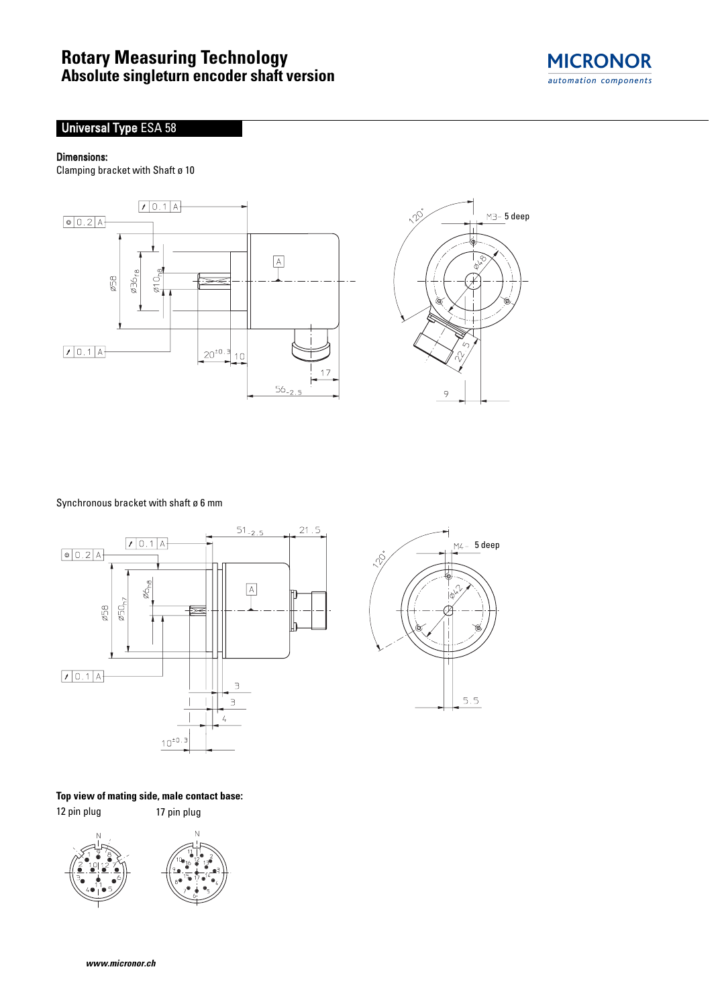# **Rotary Measuring Technology Absolute singleturn encoder shaft version**



## **Universal Type ESA 58**

### Dimensions:

Clamping bracket with Shaft ø 10





Synchronous bracket with shaft ø 6 mm



**Top view of mating side, male contact base:**

12 pin plug 17 pin plug